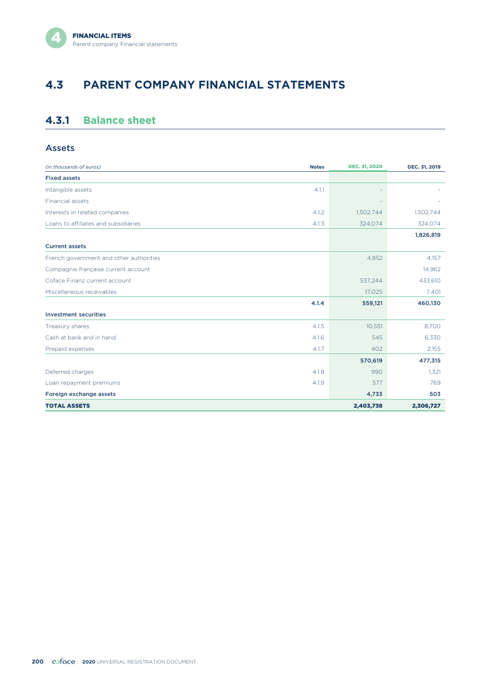# **4.3 PARENT COMPANY FINANCIAL STATEMENTS**

# **4.3.1 Balance sheet**

#### Assets

| (in thousands of euros)                 | <b>Notes</b> | <b>DEC. 31, 2020</b> | DEC. 31, 2019 |
|-----------------------------------------|--------------|----------------------|---------------|
| <b>Fixed assets</b>                     |              |                      |               |
| Intangible assets                       | 4.1.1        |                      |               |
| Financial assets                        |              |                      |               |
| Interests in related companies          | 4.1.2        | 1,502,744            | 1,502,744     |
| Loans to affiliates and subsidiaries    | 4.1.3        | 324,074              | 324,074       |
|                                         |              |                      | 1,826,819     |
| <b>Current assets</b>                   |              |                      |               |
| French government and other authorities |              | 4,852                | 4,157         |
| Compagnie française current account     |              |                      | 14,962        |
| Coface Finanz current account           |              | 537,244              | 433,610       |
| Miscellaneous receivables               |              | 17,025               | 7,401         |
|                                         | 4.1.4        | 559,121              | 460,130       |
| <b>Investment securities</b>            |              |                      |               |
| Treasury shares                         | 4.1.5        | 10,551               | 8,700         |
| Cash at bank and in hand                | 4.16         | 545                  | 6,330         |
| Prepaid expenses                        | 4.1.7        | 402                  | 2,155         |
|                                         |              | 570,619              | 477,315       |
| Deferred charges                        | 4.1.8        | 990                  | 1,321         |
| Loan repayment premiums                 | 4.1.9        | 577                  | 769           |
| Foreign exchange assets                 |              | 4,733                | 503           |
| <b>TOTAL ASSETS</b>                     |              | 2,403,738            | 2,306,727     |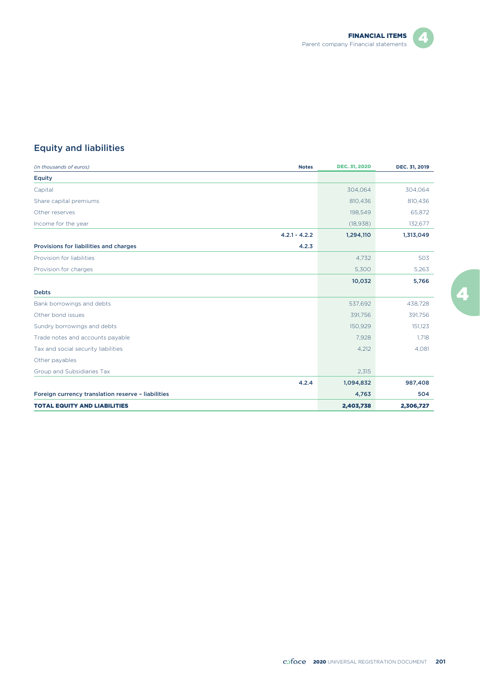



## Equity and liabilities

| (in thousands of euros)                            | <b>Notes</b>    | <b>DEC. 31, 2020</b> | DEC. 31, 2019 |
|----------------------------------------------------|-----------------|----------------------|---------------|
| <b>Equity</b>                                      |                 |                      |               |
| Capital                                            |                 | 304,064              | 304,064       |
| Share capital premiums                             |                 | 810,436              | 810,436       |
| Other reserves                                     |                 | 198,549              | 65,872        |
| Income for the year                                |                 | (18, 938)            | 132,677       |
|                                                    | $4.2.1 - 4.2.2$ | 1,294,110            | 1,313,049     |
| Provisions for liabilities and charges             | 4.2.3           |                      |               |
| Provision for liabilities                          |                 | 4,732                | 503           |
| Provision for charges                              |                 | 5,300                | 5,263         |
|                                                    |                 | 10,032               | 5,766         |
| <b>Debts</b>                                       |                 |                      |               |
| Bank borrowings and debts                          |                 | 537,692              | 438,728       |
| Other bond issues                                  |                 | 391,756              | 391,756       |
| Sundry borrowings and debts                        |                 | 150,929              | 151,123       |
| Trade notes and accounts payable                   |                 | 7,928                | 1.718         |
| Tax and social security liabilities                |                 | 4,212                | 4,081         |
| Other payables                                     |                 |                      |               |
| Group and Subsidiaries Tax                         |                 | 2,315                |               |
|                                                    | 4.2.4           | 1,094,832            | 987,408       |
| Foreign currency translation reserve - liabilities |                 | 4,763                | 504           |
| <b>TOTAL EQUITY AND LIABILITIES</b>                |                 | 2,403,738            | 2,306,727     |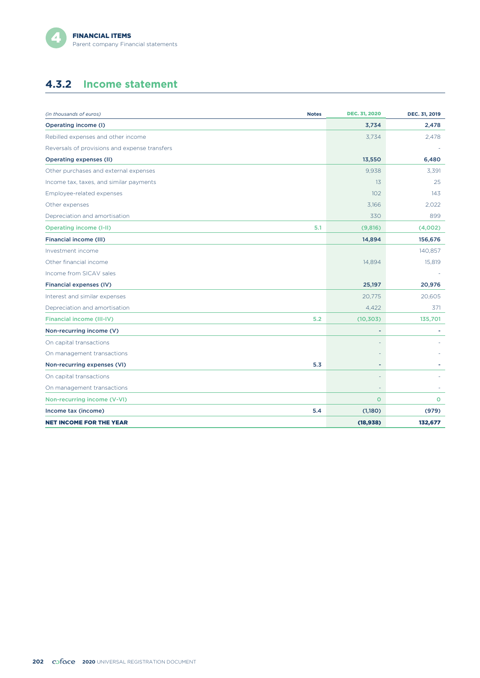# **4.3.2 Income statement**

| (in thousands of euros)                       | <b>Notes</b> | <b>DEC. 31, 2020</b> | DEC. 31, 2019 |
|-----------------------------------------------|--------------|----------------------|---------------|
| Operating income (I)                          |              | 3,734                | 2,478         |
| Rebilled expenses and other income            |              | 3.734                | 2,478         |
| Reversals of provisions and expense transfers |              |                      |               |
| <b>Operating expenses (II)</b>                |              | 13,550               | 6,480         |
| Other purchases and external expenses         |              | 9,938                | 3,391         |
| Income tax, taxes, and similar payments       |              | 13                   | 25            |
| Employee-related expenses                     |              | 102                  | 143           |
| Other expenses                                |              | 3.166                | 2,022         |
| Depreciation and amortisation                 |              | 330                  | 899           |
| <b>Operating income (I-II)</b>                | 5.1          | (9,816)              | (4,002)       |
| Financial income (III)                        |              | 14,894               | 156,676       |
| Investment income                             |              |                      | 140,857       |
| Other financial income                        |              | 14,894               | 15,819        |
| Income from SICAV sales                       |              |                      |               |
| Financial expenses (IV)                       |              | 25,197               | 20,976        |
| Interest and similar expenses                 |              | 20.775               | 20,605        |
| Depreciation and amortisation                 |              | 4,422                | 371           |
| <b>Financial income (III-IV)</b>              | 5.2          | (10, 303)            | 135,701       |
| Non-recurring income (V)                      |              | ٠                    |               |
| On capital transactions                       |              |                      |               |
| On management transactions                    |              |                      |               |
| Non-recurring expenses (VI)                   | 5.3          | ٠                    |               |
| On capital transactions                       |              |                      |               |
| On management transactions                    |              |                      |               |
| Non-recurring income (V-VI)                   |              | $\circ$              | $\circ$       |
| Income tax (income)                           | 5.4          | (1,180)              | (979)         |
| <b>NET INCOME FOR THE YEAR</b>                |              | (18,938)             | 132,677       |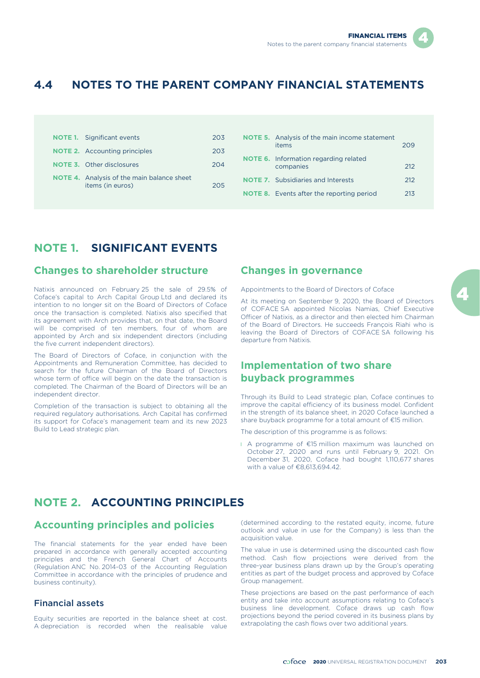# **4.4 NOTES TO THE PARENT COMPANY FINANCIAL STATEMENTS**

|  | <b>NOTE 1.</b> Significant events                                     | 203 |
|--|-----------------------------------------------------------------------|-----|
|  | <b>NOTE 2.</b> Accounting principles                                  | 203 |
|  | <b>NOTE 3.</b> Other disclosures                                      | 204 |
|  | <b>NOTE 4.</b> Analysis of the main balance sheet<br>items (in euros) | 205 |

|  | <b>NOTE 5.</b> Analysis of the main income statement<br>items | 209 |  |
|--|---------------------------------------------------------------|-----|--|
|  | <b>NOTE 6.</b> Information regarding related<br>companies     | 212 |  |
|  | <b>NOTE 7.</b> Subsidiaries and Interests                     | 212 |  |
|  | <b>NOTE 8.</b> Events after the reporting period              | 213 |  |
|  |                                                               |     |  |

# **NOTE 1. SIGNIFICANT EVENTS**

## **Changes to shareholder structure**

Natixis announced on February 25 the sale of 29.5% of Coface's capital to Arch Capital Group Ltd and declared its intention to no longer sit on the Board of Directors of Coface once the transaction is completed. Natixis also specified that its agreement with Arch provides that, on that date, the Board will be comprised of ten members, four of whom are appointed by Arch and six independent directors (including the five current independent directors).

The Board of Directors of Coface, in conjunction with the Appointments and Remuneration Committee, has decided to search for the future Chairman of the Board of Directors whose term of office will begin on the date the transaction is completed. The Chairman of the Board of Directors will be an independent director.

Completion of the transaction is subject to obtaining all the required regulatory authorisations. Arch Capital has confirmed its support for Coface's management team and its new 2023 Build to Lead strategic plan.

## **Changes in governance**

#### Appointments to the Board of Directors of Coface

At its meeting on September 9, 2020, the Board of Directors of COFACE SA appointed Nicolas Namias, Chief Executive Officer of Natixis, as a director and then elected him Chairman of the Board of Directors. He succeeds François Riahi who is leaving the Board of Directors of COFACE SA following his departure from Natixis.

## **Implementation of two share buyback programmes**

Through its Build to Lead strategic plan, Coface continues to improve the capital efficiency of its business model. Confident in the strength of its balance sheet, in 2020 Coface launched a share buyback programme for a total amount of €15 million.

The description of this programme is as follows:

l A programme of €15 million maximum was launched on October 27, 2020 and runs until February 9, 2021. On December 31, 2020, Coface had bought 1,110,677 shares with a value of €8.613,694.42

# **NOTE 2. ACCOUNTING PRINCIPLES**

## **Accounting principles and policies**

The financial statements for the year ended have been prepared in accordance with generally accepted accounting principles and the French General Chart of Accounts (Regulation ANC No. 2014-03 of the Accounting Regulation Committee in accordance with the principles of prudence and business continuity).

## Financial assets

Equity securities are reported in the balance sheet at cost. A depreciation is recorded when the realisable value (determined according to the restated equity, income, future outlook and value in use for the Company) is less than the acquisition value.

The value in use is determined using the discounted cash flow method. Cash flow projections were derived from the three-year business plans drawn up by the Group's operating entities as part of the budget process and approved by Coface Group management.

These projections are based on the past performance of each entity and take into account assumptions relating to Coface's business line development. Coface draws up cash flow projections beyond the period covered in its business plans by extrapolating the cash flows over two additional years.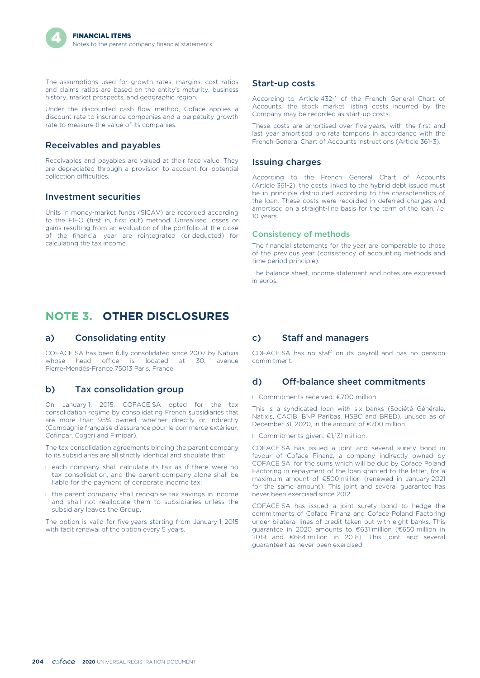The assumptions used for growth rates, margins, cost ratios and claims ratios are based on the entity's maturity, business history, market prospects, and geographic region.

Under the discounted cash flow method, Coface applies a discount rate to insurance companies and a perpetuity growth rate to measure the value of its companies.

#### Receivables and payables

Receivables and payables are valued at their face value. They are depreciated through a provision to account for potential collection difficulties.

#### Investment securities

Units in money-market funds (SICAV) are recorded according to the FIFO (first in, first out) method. Unrealised losses or gains resulting from an evaluation of the portfolio at the close of the financial year are reintegrated (or deducted) for calculating the tax income.

# **NOTE 3. OTHER DISCLOSURES**

#### a) Consolidating entity

COFACE SA has been fully consolidated since 2007 by Natixis whose head office is located at 30, avenue Pierre-Mendès-France 75013 Paris, France.

#### b) Tax consolidation group

On January 1, 2015, COFACE SA opted for the tax consolidation regime by consolidating French subsidiaries that are more than 95% owned, whether directly or indirectly (Compagnie française d'assurance pour le commerce extérieur, Cofinpar, Cogeri and Fimipar).

The tax consolidation agreements binding the parent company to its subsidiaries are all strictly identical and stipulate that:

- l each company shall calculate its tax as if there were no tax consolidation, and the parent company alone shall be liable for the payment of corporate income tax;
- l the parent company shall recognise tax savings in income and shall not reallocate them to subsidiaries unless the subsidiary leaves the Group.

The option is valid for five years starting from January 1, 2015 with tacit renewal of the option every 5 years.

#### Start-up costs

According to Article 432-1 of the French General Chart of Accounts, the stock market listing costs incurred by the Company may be recorded as start-up costs.

These costs are amortised over five years, with the first and last year amortised pro rata temporis in accordance with the French General Chart of Accounts instructions (Article 361-3).

#### Issuing charges

According to the French General Chart of Accounts (Article 361-2), the costs linked to the hybrid debt issued must be in principle distributed according to the characteristics of the loan. These costs were recorded in deferred charges and amortised on a straight-line basis for the term of the loan, *i.e.* 10 years.

#### Consistency of methods

The financial statements for the year are comparable to those of the previous year (consistency of accounting methods and time period principle).

The balance sheet, income statement and notes are expressed in euros.

#### c) Staff and managers

COFACE SA has no staff on its payroll and has no pension commitment.

#### d) Off-balance sheet commitments

l Commitments received: €700 million.

This is a syndicated loan with six banks (Société Générale, Natixis, CACIB, BNP Paribas, HSBC and BRED), unused as of December 31, 2020, in the amount of €700 million.

l Commitments given: €1,131 million.

COFACE SA has issued a joint and several surety bond in favour of Coface Finanz, a company indirectly owned by COFACE SA, for the sums which will be due by Coface Poland Factoring in repayment of the loan granted to the latter, for a maximum amount of €500 million (renewed in January 2021 for the same amount). This joint and several guarantee has never been exercised since 2012.

COFACE SA has issued a joint surety bond to hedge the commitments of Coface Finanz and Coface Poland Factoring under bilateral lines of credit taken out with eight banks. This guarantee in 2020 amounts to €631 million (€650 million in 2019 and €684 million in 2018). This joint and several guarantee has never been exercised.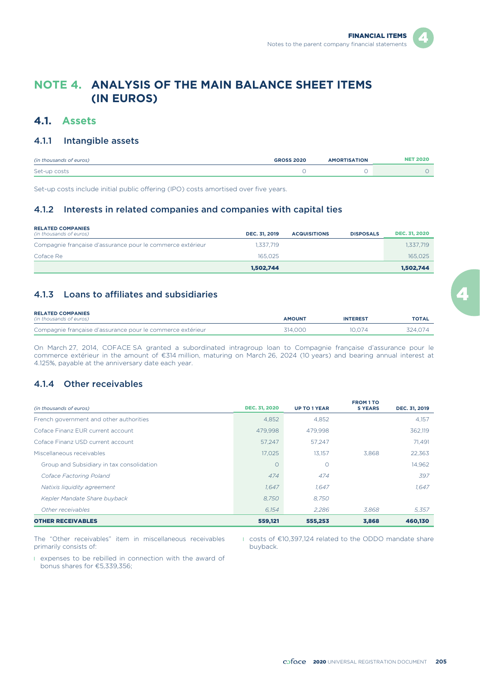# **NOTE 4. ANALYSIS OF THE MAIN BALANCE SHEET ITEMS (IN EUROS)**

## **4.1. Assets**

#### 4.1.1 Intangible assets

| (in thousands of euros) | <b>GROSS 2020</b> | <b>AMORTISATION</b> | <b>NET 2020</b> |
|-------------------------|-------------------|---------------------|-----------------|
| Set-up costs            |                   |                     |                 |

Set-up costs include initial public offering (IPO) costs amortised over five years.

## 4.1.2 Interests in related companies and companies with capital ties

| <b>RELATED COMPANIES</b><br>(in thousands of euros)        | DEC. 31, 2019 | <b>ACQUISITIONS</b> | <b>DISPOSALS</b> | <b>DEC. 31, 2020</b> |
|------------------------------------------------------------|---------------|---------------------|------------------|----------------------|
| Compagnie française d'assurance pour le commerce extérieur | 1.337.719     |                     |                  | 1.337.719            |
| Coface Re                                                  | 165.025       |                     |                  | 165.025              |
|                                                            | 1.502.744     |                     |                  | 1,502,744            |

## 4.1.3 Loans to affiliates and subsidiaries

| <b>RELATED COMPANIES</b><br>(in thousands of euros)        | <b>AMOUNT</b> | <b>INTEREST</b> | <b>TOTAL</b> |
|------------------------------------------------------------|---------------|-----------------|--------------|
| Compagnie française d'assurance pour le commerce extérieur | 314.000       | 10.074          | 324.074      |

On March 27, 2014, COFACE SA granted a subordinated intragroup loan to Compagnie française d'assurance pour le commerce extérieur in the amount of €314 million, maturing on March 26, 2024 (10 years) and bearing annual interest at 4.125%, payable at the anniversary date each year.

### 4.1.4 Other receivables

| (in thousands of euros)                   | <b>DEC. 31, 2020</b> | <b>UP TO 1 YEAR</b> | <b>FROM 1 TO</b><br><b>5 YEARS</b> | DEC. 31, 2019 |
|-------------------------------------------|----------------------|---------------------|------------------------------------|---------------|
| French government and other authorities   | 4,852                | 4,852               |                                    | 4,157         |
| Coface Finanz FUR current account         | 479.998              | 479.998             |                                    | 362.119       |
| Coface Finanz USD current account         | 57.247               | 57.247              |                                    | 71.491        |
| Miscellaneous receivables                 | 17.025               | 13.157              | 3.868                              | 22,363        |
| Group and Subsidiary in tax consolidation | O                    | $\circ$             |                                    | 14,962        |
| Coface Factoring Poland                   | 474                  | 474                 |                                    | 397           |
| Natixis liquidity agreement               | 1.647                | 1.647               |                                    | 1.647         |
| Kepler Mandate Share buyback              | 8.750                | 8.750               |                                    |               |
| Other receivables                         | 6.154                | 2.286               | 3,868                              | 5.357         |
| <b>OTHER RECEIVABLES</b>                  | 559,121              | 555,253             | 3,868                              | 460,130       |

The "Other receivables" item in miscellaneous receivables primarily consists of:

l expenses to be rebilled in connection with the award of bonus shares for €5,339,356;

l costs of €10,397,124 related to the ODDO mandate share buyback.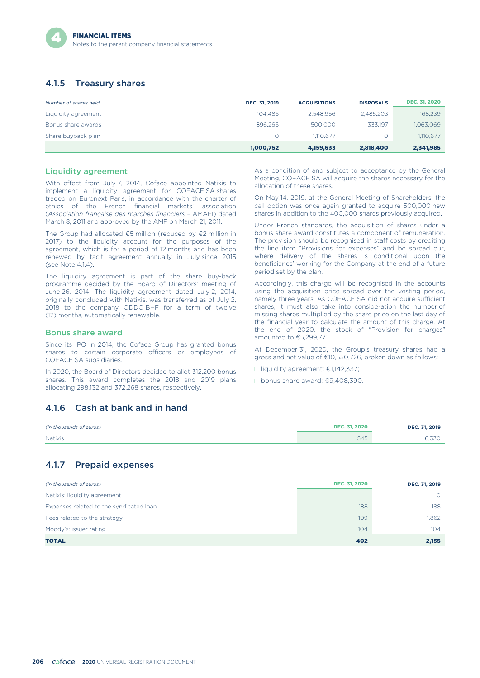## 4.1.5 Treasury shares

| Number of shares held | DEC. 31, 2019 | <b>ACQUISITIONS</b> | <b>DISPOSALS</b> | <b>DEC. 31, 2020</b> |
|-----------------------|---------------|---------------------|------------------|----------------------|
| Liquidity agreement   | 104.486       | 2.548.956           | 2.485.203        | 168,239              |
| Bonus share awards    | 896.266       | 500,000             | 333.197          | 1,063,069            |
| Share buyback plan    | $\Omega$      | 1.110.677           |                  | 1,110,677            |
|                       | 1,000,752     | 4,159,633           | 2,818,400        | 2,341,985            |

#### Liquidity agreement

With effect from July 7, 2014, Coface appointed Natixis to implement a liquidity agreement for COFACE SA shares traded on Euronext Paris, in accordance with the charter of ethics of the French financial markets' association (*Association française des marchés financiers* – AMAFI) dated March 8, 2011 and approved by the AMF on March 21, 2011.

The Group had allocated €5 million (reduced by €2 million in 2017) to the liquidity account for the purposes of the agreement, which is for a period of 12 months and has been renewed by tacit agreement annually in July since 2015 (see Note 4.1.4).

The liquidity agreement is part of the share buy-back programme decided by the Board of Directors' meeting of June 26, 2014. The liquidity agreement dated July 2, 2014, originally concluded with Natixis, was transferred as of July 2, 2018 to the company ODDO BHF for a term of twelve (12) months, automatically renewable.

#### Bonus share award

Since its IPO in 2014, the Coface Group has granted bonus shares to certain corporate officers or employees of COFACE SA subsidiaries.

In 2020, the Board of Directors decided to allot 312,200 bonus shares. This award completes the 2018 and 2019 plans allocating 298,132 and 372,268 shares, respectively.

## 4.1.6 Cash at bank and in hand

| (in thousands of euros) | <b>DEC. 31, 2020</b> | DEC. 31, 2019 |
|-------------------------|----------------------|---------------|
| Natixis                 | <b>FAF</b><br>545    | 0.33U         |

### 4.1.7 Prepaid expenses

| (in thousands of euros)                 | <b>DEC. 31, 2020</b> | DEC. 31, 2019 |
|-----------------------------------------|----------------------|---------------|
| Natixis: liquidity agreement            |                      | $\Omega$      |
| Expenses related to the syndicated loan | 188                  | 188           |
| Fees related to the strategy            | 109                  | 1,862         |
| Moody's: issuer rating                  | 104                  | 104           |
| <b>TOTAL</b>                            | 402                  | 2,155         |

As a condition of and subject to acceptance by the General Meeting, COFACE SA will acquire the shares necessary for the allocation of these shares.

On May 14, 2019, at the General Meeting of Shareholders, the call option was once again granted to acquire 500,000 new shares in addition to the 400,000 shares previously acquired.

Under French standards, the acquisition of shares under a bonus share award constitutes a component of remuneration. The provision should be recognised in staff costs by crediting the line item "Provisions for expenses" and be spread out, where delivery of the shares is conditional upon the beneficiaries' working for the Company at the end of a future period set by the plan.

Accordingly, this charge will be recognised in the accounts using the acquisition price spread over the vesting period, namely three years. As COFACE SA did not acquire sufficient shares, it must also take into consideration the number of missing shares multiplied by the share price on the last day of the financial year to calculate the amount of this charge. At the end of 2020, the stock of "Provision for charges" amounted to €5,299,771.

At December 31, 2020, the Group's treasury shares had a gross and net value of €10,550,726, broken down as follows:

- l liquidity agreement: €1142,337;
- l bonus share award: €9,408,390.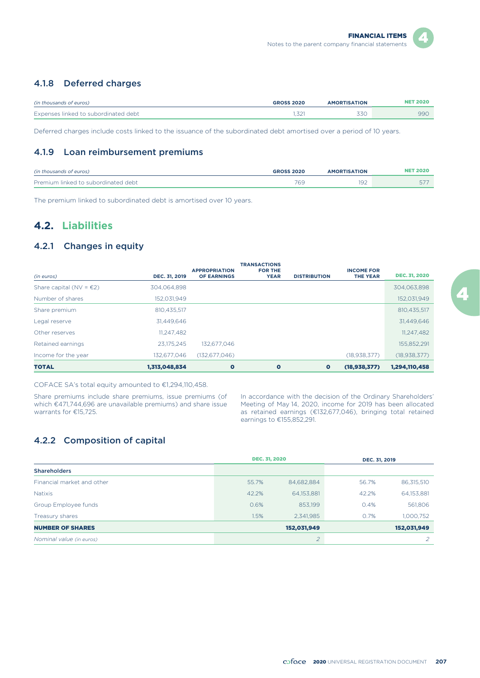## 4.1.8 Deferred charges

| (in thousands of euros)              | <b>GROSS 2020</b> | <b>AMORTISATION</b> | NET 2020 |
|--------------------------------------|-------------------|---------------------|----------|
| Expenses linked to subordinated debt |                   |                     | 99C      |

Deferred charges include costs linked to the issuance of the subordinated debt amortised over a period of 10 years.

#### 4.1.9 Loan reimbursement premiums

| (in thousands of euros)             | <b>GROSS 2020</b> | <b>TION</b> |     |
|-------------------------------------|-------------------|-------------|-----|
| Premium linked to subordinated debt | 760<br>ంక         | 1 J Z       | ، ب |

The premium linked to subordinated debt is amortised over 10 years.

# **4.2. Liabilities**

#### 4.2.1 Changes in equity

| (in euros)                        | DEC. 31, 2019 | <b>APPROPRIATION</b><br><b>OF EARNINGS</b> | <b>TRANSACTIONS</b><br><b>FOR THE</b><br><b>YEAR</b> | <b>DISTRIBUTION</b> | <b>INCOME FOR</b><br><b>THE YEAR</b> | <b>DEC. 31, 2020</b> |
|-----------------------------------|---------------|--------------------------------------------|------------------------------------------------------|---------------------|--------------------------------------|----------------------|
| Share capital (NV = $\epsilon$ 2) | 304.064.898   |                                            |                                                      |                     |                                      | 304,063,898          |
| Number of shares                  | 152,031,949   |                                            |                                                      |                     |                                      | 152,031,949          |
| Share premium                     | 810.435.517   |                                            |                                                      |                     |                                      | 810,435,517          |
| Legal reserve                     | 31,449,646    |                                            |                                                      |                     |                                      | 31,449,646           |
| Other reserves                    | 11,247,482    |                                            |                                                      |                     |                                      | 11,247,482           |
| Retained earnings                 | 23.175.245    | 132.677.046                                |                                                      |                     |                                      | 155,852,291          |
| Income for the year               | 132.677.046   | (132.677.046)                              |                                                      |                     | (18, 938, 377)                       | (18, 938, 377)       |
| <b>TOTAL</b>                      | 1,313,048,834 | $\bullet$                                  | $\bullet$                                            | $\bullet$           | (18, 938, 377)                       | 1,294,110,458        |

COFACE SA's total equity amounted to €1,294,110,458.

Share premiums include share premiums, issue premiums (of which €471,744,696 are unavailable premiums) and share issue warrants for €15,725.

In accordance with the decision of the Ordinary Shareholders' Meeting of May 14, 2020, income for 2019 has been allocated as retained earnings (€132,677,046), bringing total retained earnings to €155,852,291.

## 4.2.2 Composition of capital

|                            |       | <b>DEC. 31, 2020</b> | DEC. 31, 2019 |             |
|----------------------------|-------|----------------------|---------------|-------------|
| <b>Shareholders</b>        |       |                      |               |             |
| Financial market and other | 55.7% | 84,682,884           | 56.7%         | 86,315,510  |
| <b>Natixis</b>             | 42.2% | 64,153,881           | 42.2%         | 64,153,881  |
| Group Employee funds       | 0.6%  | 853,199              | 0.4%          | 561,806     |
| Treasury shares            | 1.5%  | 2,341,985            | 0.7%          | 1,000,752   |
| <b>NUMBER OF SHARES</b>    |       | 152,031,949          |               | 152,031,949 |
| Nominal value (in euros)   |       | $\overline{2}$       |               |             |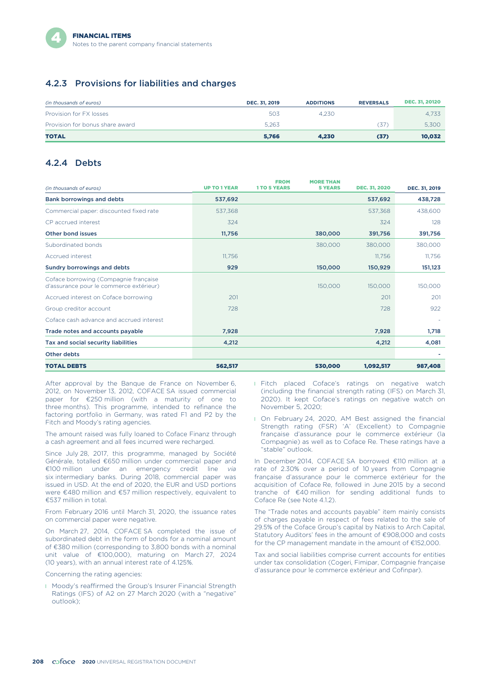## 4.2.3 Provisions for liabilities and charges

| (in thousands of euros)         | <b>DEC. 31, 2019</b> | <b>ADDITIONS</b> | <b>REVERSALS</b> | <b>DEC. 31, 20120</b> |
|---------------------------------|----------------------|------------------|------------------|-----------------------|
| Provision for FX losses         | 503                  | 4.230            |                  | 4.733                 |
| Provision for bonus share award | 5.263                |                  | .37              | 5.300                 |
| <b>TOTAL</b>                    | 5.766                | 4.230            | (37)             | 10,032                |

#### 4.2.4 Debts

| (in thousands of euros)                                                          | <b>UP TO 1 YEAR</b> | <b>FROM</b><br><b>1TO 5 YEARS</b> | <b>MORE THAN</b><br><b>5 YEARS</b> | <b>DEC. 31, 2020</b> | DEC. 31, 2019 |
|----------------------------------------------------------------------------------|---------------------|-----------------------------------|------------------------------------|----------------------|---------------|
| Bank borrowings and debts                                                        | 537,692             |                                   |                                    | 537,692              | 438,728       |
| Commercial paper: discounted fixed rate                                          | 537,368             |                                   |                                    | 537,368              | 438,600       |
| CP accrued interest                                                              | 324                 |                                   |                                    | 324                  | 128           |
| Other bond issues                                                                | 11,756              |                                   | 380,000                            | 391,756              | 391,756       |
| Subordinated bonds                                                               |                     |                                   | 380,000                            | 380,000              | 380,000       |
| Accrued interest                                                                 | 11.756              |                                   |                                    | 11,756               | 11,756        |
| Sundry borrowings and debts                                                      | 929                 |                                   | 150,000                            | 150,929              | 151,123       |
| Coface borrowing (Compagnie française<br>d'assurance pour le commerce extérieur) |                     |                                   | 150,000                            | 150,000              | 150,000       |
| Accrued interest on Coface borrowing                                             | 201                 |                                   |                                    | 201                  | 201           |
| Group creditor account                                                           | 728                 |                                   |                                    | 728                  | 922           |
| Coface cash advance and accrued interest                                         |                     |                                   |                                    |                      |               |
| Trade notes and accounts payable                                                 | 7,928               |                                   |                                    | 7,928                | 1,718         |
| Tax and social security liabilities                                              | 4,212               |                                   |                                    | 4,212                | 4,081         |
| Other debts                                                                      |                     |                                   |                                    |                      |               |
| <b>TOTAL DEBTS</b>                                                               | 562,517             |                                   | 530,000                            | 1,092,517            | 987,408       |

After approval by the Banque de France on November 6, 2012, on November 13, 2012, COFACE SA issued commercial paper for €250 million (with a maturity of one to three months). This programme, intended to refinance the factoring portfolio in Germany, was rated F1 and P2 by the Fitch and Moody's rating agencies.

The amount raised was fully loaned to Coface Finanz through a cash agreement and all fees incurred were recharged.

Since July 28, 2017, this programme, managed by Société Générale, totalled €650 million under commercial paper and €100 million under an emergency credit line *via* six intermediary banks. During 2018, commercial paper was issued in USD. At the end of 2020, the EUR and USD portions were €480 million and €57 million respectively, equivalent to €537 million in total.

From February 2016 until March 31, 2020, the issuance rates on commercial paper were negative.

On March 27, 2014, COFACE SA completed the issue of subordinated debt in the form of bonds for a nominal amount of €380 million (corresponding to 3,800 bonds with a nominal unit value of €100,000), maturing on March 27, 2024 (10 years), with an annual interest rate of 4.125%.

Concerning the rating agencies:

**I** Moody's reaffirmed the Group's Insurer Financial Strength Ratings (IFS) of A2 on 27 March 2020 (with a "negative" outlook);

- **I** Fitch placed Coface's ratings on negative watch (including the financial strength rating (IFS) on March 31, 2020). It kept Coface's ratings on negative watch on November 5, 2020;
- **I** On February 24, 2020, AM Best assigned the financial Strength rating (FSR) 'A' (Excellent) to Compagnie française d'assurance pour le commerce extérieur (la Compagnie) as well as to Coface Re. These ratings have a "stable" outlook.

In December 2014, COFACE SA borrowed €110 million at a rate of 2.30% over a period of 10 years from Compagnie française d'assurance pour le commerce extérieur for the acquisition of Coface Re, followed in June 2015 by a second tranche of €40 million for sending additional funds to Coface Re (see Note 412).

The "Trade notes and accounts payable" item mainly consists of charges payable in respect of fees related to the sale of 29.5% of the Coface Group's capital by Natixis to Arch Capital, Statutory Auditors' fees in the amount of €908,000 and costs for the CP management mandate in the amount of €152,000.

Tax and social liabilities comprise current accounts for entities under tax consolidation (Cogeri, Fimipar, Compagnie française d'assurance pour le commerce extérieur and Cofinpar).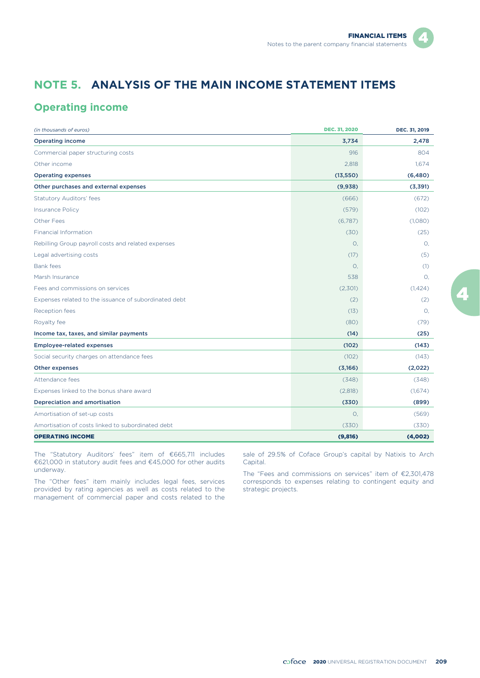# **NOTE 5. ANALYSIS OF THE MAIN INCOME STATEMENT ITEMS**

## **Operating income**

| (in thousands of euros)                               | <b>DEC. 31, 2020</b> | DEC. 31, 2019 |
|-------------------------------------------------------|----------------------|---------------|
| <b>Operating income</b>                               | 3,734                | 2,478         |
| Commercial paper structuring costs                    | 916                  | 804           |
| Other income                                          | 2,818                | 1,674         |
| <b>Operating expenses</b>                             | (13, 550)            | (6,480)       |
| Other purchases and external expenses                 | (9,938)              | (3,391)       |
| <b>Statutory Auditors' fees</b>                       | (666)                | (672)         |
| <b>Insurance Policy</b>                               | (579)                | (102)         |
| Other Fees                                            | (6,787)              | (1,080)       |
| Financial Information                                 | (30)                 | (25)          |
| Rebilling Group payroll costs and related expenses    | 0.                   | О.            |
| Legal advertising costs                               | (17)                 | (5)           |
| <b>Bank fees</b>                                      | $\circ$ .            | (1)           |
| Marsh Insurance                                       | 538                  | О.            |
| Fees and commissions on services                      | (2,301)              | (1,424)       |
| Expenses related to the issuance of subordinated debt | (2)                  | (2)           |
| Reception fees                                        | (13)                 | О.            |
| Royalty fee                                           | (80)                 | (79)          |
| Income tax, taxes, and similar payments               | (14)                 | (25)          |
| <b>Employee-related expenses</b>                      | (102)                | (143)         |
| Social security charges on attendance fees            | (102)                | (143)         |
| <b>Other expenses</b>                                 | (3,166)              | (2,022)       |
| Attendance fees                                       | (348)                | (348)         |
| Expenses linked to the bonus share award              | (2,818)              | (1,674)       |
| <b>Depreciation and amortisation</b>                  | (330)                | (899)         |
| Amortisation of set-up costs                          | О.                   | (569)         |
| Amortisation of costs linked to subordinated debt     | (330)                | (330)         |
| <b>OPERATING INCOME</b>                               | (9,816)              | (4,002)       |

The "Statutory Auditors' fees" item of €665,711 includes €621,000 in statutory audit fees and €45,000 for other audits underway.

The "Other fees" item mainly includes legal fees, services provided by rating agencies as well as costs related to the management of commercial paper and costs related to the

sale of 29.5% of Coface Group's capital by Natixis to Arch Capital.

The "Fees and commissions on services" item of €2,301,478 corresponds to expenses relating to contingent equity and strategic projects.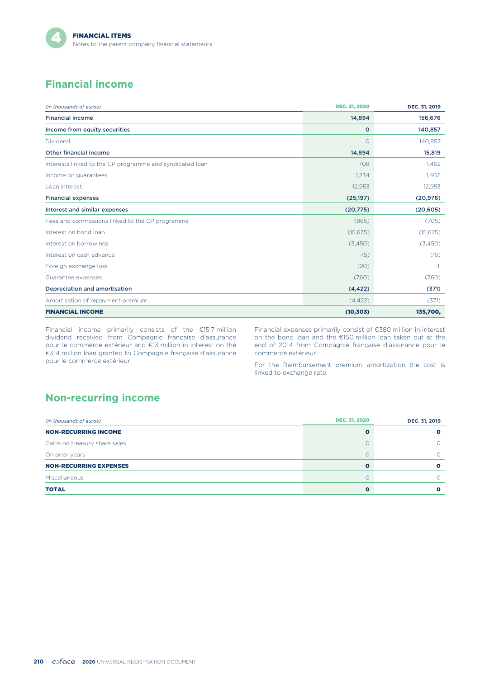# **Financial income**

| (in thousands of euros)                                  | <b>DEC. 31, 2020</b> | DEC. 31, 2019 |
|----------------------------------------------------------|----------------------|---------------|
| <b>Financial income</b>                                  | 14,894               | 156,676       |
| Income from equity securities                            | $\circ$              | 140,857       |
| Dividend                                                 | $\circ$              | 140,857       |
| <b>Other financial income</b>                            | 14,894               | 15,819        |
| Interests linked to the CP programme and syndicated loan | 708                  | 1,462         |
| Income on quarantees                                     | 1,234                | 1,405         |
| Loan interest                                            | 12,953               | 12,953        |
| <b>Financial expenses</b>                                | (25, 197)            | (20, 976)     |
| Interest and similar expenses                            | (20, 775)            | (20, 605)     |
| Fees and commissions linked to the CP programme          | (865)                | (705)         |
| Interest on bond loan                                    | (15, 675)            | (15, 675)     |
| Interest on borrowings                                   | (3,450)              | (3,450)       |
| Interest on cash advance                                 | (5)                  | (16)          |
| Foreign exchange loss                                    | (20)                 | -1.           |
| Guarantee expenses                                       | (760)                | (760)         |
| Depreciation and amortisation                            | (4, 422)             | (371)         |
| Amortisation of repayment premium                        | (4, 422)             | (371)         |
| <b>FINANCIAL INCOME</b>                                  | (10, 303)            | 135,700,      |

Financial income primarily consists of the €15.7 million dividend received from Compagnie française d'assurance pour le commerce extérieur and €13 million in interest on the €314 million loan granted to Compagnie française d'assurance pour le commerce extérieur.

Financial expenses primarily consist of €380 million in interest on the bond loan and the €150 million loan taken out at the end of 2014 from Compagnie française d'assurance pour le commerce extérieur.

For the Reimbursement premium amortization the cost is linked to exchange rate.

# **Non-recurring income**

| (in thousands of euros)       | <b>DEC. 31, 2020</b> | DEC. 31, 2019 |
|-------------------------------|----------------------|---------------|
| <b>NON-RECURRING INCOME</b>   | O                    |               |
| Gains on treasury share sales | $\circ$              |               |
| On prior years                | O                    |               |
| <b>NON-RECURRING EXPENSES</b> | $\mathbf o$          | o             |
| Miscellaneous                 | $\circ$              |               |
| <b>TOTAL</b>                  | $\Omega$             |               |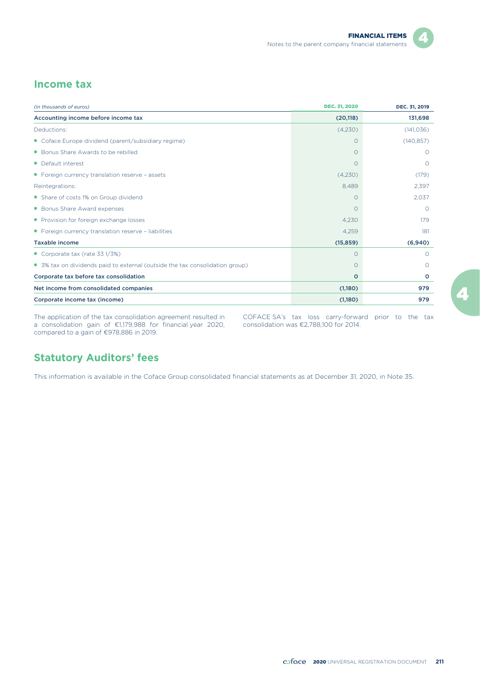## **Income tax**

| (in thousands of euros)                                                      | <b>DEC. 31, 2020</b> | DEC. 31, 2019 |
|------------------------------------------------------------------------------|----------------------|---------------|
| Accounting income before income tax                                          | (20, 118)            | 131,698       |
| Deductions:                                                                  | (4,230)              | (141, 036)    |
| • Coface Europe dividend (parent/subsidiary regime)                          | O                    | (140, 857)    |
| • Bonus Share Awards to be rebilled                                          | O                    | $\Omega$      |
| • Default interest                                                           | $\Omega$             | $\Omega$      |
| • Foreign currency translation reserve - assets                              | (4,230)              | (179)         |
| Reintegrations:                                                              | 8.489                | 2,397         |
| • Share of costs 1% on Group dividend                                        | $\Omega$             | 2,037         |
| • Bonus Share Award expenses                                                 | $\Omega$             | $\Omega$      |
| • Provision for foreign exchange losses                                      | 4,230                | 179           |
| • Foreign currency translation reserve - liabilities                         | 4,259                | 181           |
| <b>Taxable income</b>                                                        | (15, 859)            | (6,940)       |
| • Corporate tax (rate $331/3\%)$                                             | O                    | $\Omega$      |
| • 3% tax on dividends paid to external (outside the tax consolidation group) | 0                    | $\Omega$      |
| Corporate tax before tax consolidation                                       | $\circ$              | O             |
| Net income from consolidated companies                                       | (1,180)              | 979           |
| Corporate income tax (income)                                                | (1,180)              | 979           |

The application of the tax consolidation agreement resulted in a consolidation gain of €1,179,988 for financial year 2020, compared to a gain of €978,886 in 2019.

COFACE SA's tax loss carry-forward prior to the tax consolidation was €2,788,100 for 2014.

# **Statutory Auditors' fees**

This information is available in the Coface Group consolidated financial statements as at December 31, 2020, in Note 35.